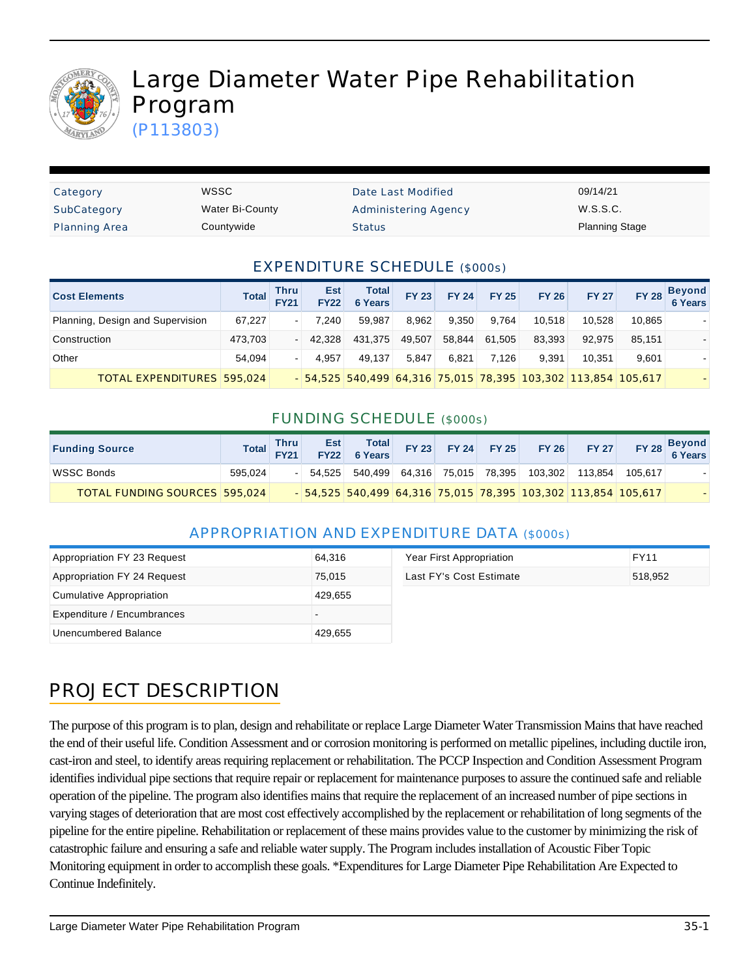

# Large Diameter Water Pipe Rehabilitation Program

(P113803)

| Category             | WSSC            | Date Last Modified   | 09/14/21              |
|----------------------|-----------------|----------------------|-----------------------|
| SubCategory          | Water Bi-County | Administering Agency | W.S.S.C.              |
| <b>Planning Area</b> | Countywide      | Status               | <b>Planning Stage</b> |

#### EXPENDITURE SCHEDULE (\$000s)

| <b>Cost Elements</b>             | <b>Total</b> | <b>Thru</b><br><b>FY21</b> | <b>Est</b><br><b>FY22</b> | <b>Total</b><br>6 Years | <b>FY 23</b> | <b>FY 24</b> | <b>FY 25</b> | <b>FY 26</b> | <b>FY 27</b>                                                  | <b>FY 28</b> | <b>Beyond</b><br><b>6 Years</b> |
|----------------------------------|--------------|----------------------------|---------------------------|-------------------------|--------------|--------------|--------------|--------------|---------------------------------------------------------------|--------------|---------------------------------|
| Planning, Design and Supervision | 67.227       | ۰.                         | 7.240                     | 59.987                  | 8.962        | 9.350        | 9.764        | 10.518       | 10.528                                                        | 10.865       |                                 |
| Construction                     | 473,703      |                            | 42.328                    | 431.375                 | 49,507       | 58.844       | 61.505       | 83.393       | 92.975                                                        | 85.151       |                                 |
| Other                            | 54.094       | ۰.                         | 4.957                     | 49.137                  | 5.847        | 6.821        | 7.126        | 9.391        | 10.351                                                        | 9.601        |                                 |
| TOTAL EXPENDITURES 595.024       |              |                            |                           |                         |              |              |              |              | - 54,525 540,499 64,316 75,015 78,395 103,302 113,854 105,617 |              |                                 |

#### FUNDING SCHEDULE (\$000s)

| <b>Funding Source</b>                |         | Total Thru | Est Total          |  |                              | FY 23 FY 24 FY 25 FY 26 FY 27                                  |         | FY 28 Beyond |
|--------------------------------------|---------|------------|--------------------|--|------------------------------|----------------------------------------------------------------|---------|--------------|
| WSSC Bonds                           | 595.024 |            | $-$ 54,525 540,499 |  | 64,316 75,015 78,395 103,302 | 113.854                                                        | 105.617 |              |
| <b>TOTAL FUNDING SOURCES 595.024</b> |         |            |                    |  |                              | $-54,525$ 540,499 64,316 75,015 78,395 103,302 113,854 105,617 |         |              |

#### APPROPRIATION AND EXPENDITURE DATA (\$000s)

| Appropriation FY 23 Request | 64,316  | Year First Appropriation | FY11    |
|-----------------------------|---------|--------------------------|---------|
| Appropriation FY 24 Request | 75.015  | Last FY's Cost Estimate  | 518.952 |
| Cumulative Appropriation    | 429.655 |                          |         |
| Expenditure / Encumbrances  |         |                          |         |
| Unencumbered Balance        | 429,655 |                          |         |

### PROJECT DESCRIPTION

The purpose of this program is to plan, design and rehabilitate or replace Large Diameter Water Transmission Mains that have reached the end of their useful life. Condition Assessment and or corrosion monitoring is performed on metallic pipelines, including ductile iron, cast-iron and steel, to identify areas requiring replacement or rehabilitation. The PCCP Inspection and Condition Assessment Program identifies individual pipe sections that require repair or replacement for maintenance purposes to assure the continued safe and reliable operation of the pipeline. The program also identifies mains that require the replacement of an increased number of pipe sections in varying stages of deterioration that are most cost effectively accomplished by the replacement or rehabilitation of long segments of the pipeline for the entire pipeline. Rehabilitation or replacement of these mains provides value to the customer by minimizing the risk of catastrophic failure and ensuring a safe and reliable water supply. The Program includes installation of Acoustic Fiber Topic Monitoring equipment in order to accomplish these goals. \*Expenditures for Large Diameter Pipe Rehabilitation Are Expected to Continue Indefinitely.